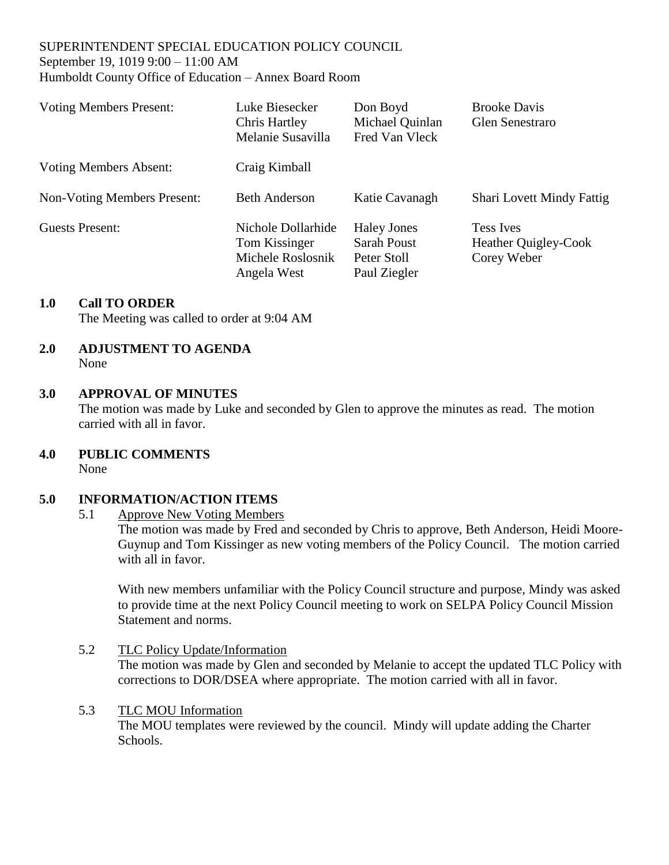#### SUPERINTENDENT SPECIAL EDUCATION POLICY COUNCIL September 19, 1019 9:00 – 11:00 AM Humboldt County Office of Education – Annex Board Room

| <b>Voting Members Present:</b>     | Luke Biesecker<br>Chris Hartley<br>Melanie Susavilla                    | Don Boyd<br>Michael Quinlan<br>Fred Van Vleck                           | <b>Brooke Davis</b><br><b>Glen Senestraro</b>                  |
|------------------------------------|-------------------------------------------------------------------------|-------------------------------------------------------------------------|----------------------------------------------------------------|
| <b>Voting Members Absent:</b>      | Craig Kimball                                                           |                                                                         |                                                                |
| <b>Non-Voting Members Present:</b> | <b>Beth Anderson</b>                                                    | Katie Cavanagh                                                          | <b>Shari Lovett Mindy Fattig</b>                               |
| <b>Guests Present:</b>             | Nichole Dollarhide<br>Tom Kissinger<br>Michele Roslosnik<br>Angela West | <b>Haley Jones</b><br><b>Sarah Poust</b><br>Peter Stoll<br>Paul Ziegler | <b>Tess Ives</b><br><b>Heather Quigley-Cook</b><br>Corey Weber |

## **1.0 Call TO ORDER**

The Meeting was called to order at 9:04 AM

#### **2.0 ADJUSTMENT TO AGENDA** None

### **3.0 APPROVAL OF MINUTES**

The motion was made by Luke and seconded by Glen to approve the minutes as read. The motion carried with all in favor.

**4.0 PUBLIC COMMENTS** 

None

# **5.0 INFORMATION/ACTION ITEMS**

### 5.1 Approve New Voting Members

The motion was made by Fred and seconded by Chris to approve, Beth Anderson, Heidi Moore-Guynup and Tom Kissinger as new voting members of the Policy Council. The motion carried with all in favor.

With new members unfamiliar with the Policy Council structure and purpose, Mindy was asked to provide time at the next Policy Council meeting to work on SELPA Policy Council Mission Statement and norms.

5.2 TLC Policy Update/Information The motion was made by Glen and seconded by Melanie to accept the updated TLC Policy with corrections to DOR/DSEA where appropriate. The motion carried with all in favor.

### 5.3 TLC MOU Information

The MOU templates were reviewed by the council. Mindy will update adding the Charter Schools.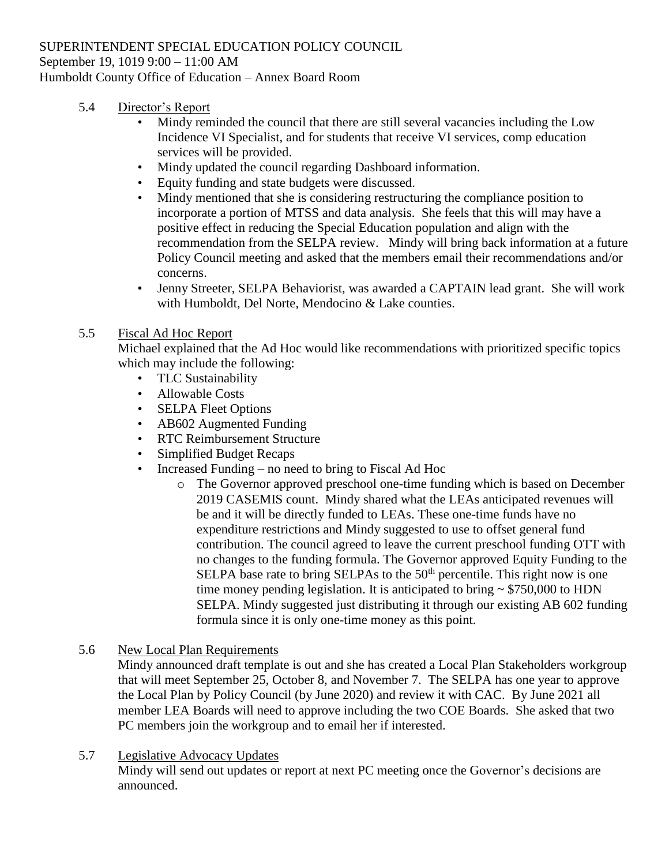#### SUPERINTENDENT SPECIAL EDUCATION POLICY COUNCIL September 19, 1019 9:00 – 11:00 AM

Humboldt County Office of Education – Annex Board Room

- 5.4 Director's Report
	- Mindy reminded the council that there are still several vacancies including the Low Incidence VI Specialist, and for students that receive VI services, comp education services will be provided.
	- Mindy updated the council regarding Dashboard information.
	- Equity funding and state budgets were discussed.
	- Mindy mentioned that she is considering restructuring the compliance position to incorporate a portion of MTSS and data analysis. She feels that this will may have a positive effect in reducing the Special Education population and align with the recommendation from the SELPA review. Mindy will bring back information at a future Policy Council meeting and asked that the members email their recommendations and/or concerns.
	- Jenny Streeter, SELPA Behaviorist, was awarded a CAPTAIN lead grant. She will work with Humboldt, Del Norte, Mendocino & Lake counties.

# 5.5 Fiscal Ad Hoc Report

Michael explained that the Ad Hoc would like recommendations with prioritized specific topics which may include the following:

- TLC Sustainability
- Allowable Costs
- SELPA Fleet Options
- AB602 Augmented Funding
- RTC Reimbursement Structure
- Simplified Budget Recaps
- Increased Funding no need to bring to Fiscal Ad Hoc
	- o The Governor approved preschool one-time funding which is based on December 2019 CASEMIS count. Mindy shared what the LEAs anticipated revenues will be and it will be directly funded to LEAs. These one-time funds have no expenditure restrictions and Mindy suggested to use to offset general fund contribution. The council agreed to leave the current preschool funding OTT with no changes to the funding formula. The Governor approved Equity Funding to the SELPA base rate to bring SELPAs to the  $50<sup>th</sup>$  percentile. This right now is one time money pending legislation. It is anticipated to bring  $\sim$  \$750,000 to HDN SELPA. Mindy suggested just distributing it through our existing AB 602 funding formula since it is only one-time money as this point.
- 5.6 New Local Plan Requirements

Mindy announced draft template is out and she has created a Local Plan Stakeholders workgroup that will meet September 25, October 8, and November 7. The SELPA has one year to approve the Local Plan by Policy Council (by June 2020) and review it with CAC. By June 2021 all member LEA Boards will need to approve including the two COE Boards. She asked that two PC members join the workgroup and to email her if interested.

5.7 Legislative Advocacy Updates Mindy will send out updates or report at next PC meeting once the Governor's decisions are announced.